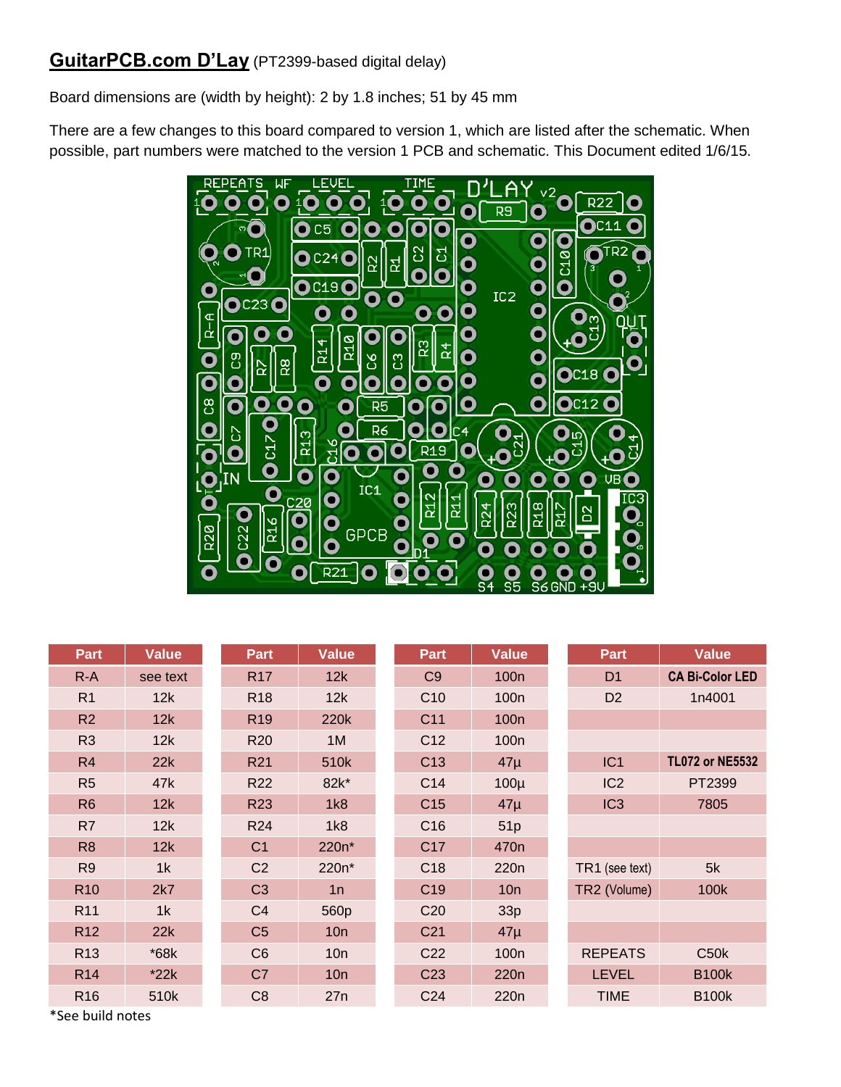## **GuitarPCB.com D'Lay** (PT2399-based digital delay)

Board dimensions are (width by height): 2 by 1.8 inches; 51 by 45 mm

There are a few changes to this board compared to version 1, which are listed after the schematic. When possible, part numbers were matched to the version 1 PCB and schematic. This Document edited 1/6/15.



| Part            | <b>Value</b> | Part            | <b>Value</b> | Part            | <b>Value</b>     | Part            | <b>Value</b>           |
|-----------------|--------------|-----------------|--------------|-----------------|------------------|-----------------|------------------------|
| $R-A$           | see text     | <b>R17</b>      | 12k          | C <sub>9</sub>  | 100 <sub>n</sub> | D <sub>1</sub>  | <b>CA Bi-Color LED</b> |
| R <sub>1</sub>  | 12k          | <b>R18</b>      | 12k          | C10             | 100 <sub>n</sub> | D <sub>2</sub>  | 1n4001                 |
| R2              | 12k          | R <sub>19</sub> | 220k         | C <sub>11</sub> | 100n             |                 |                        |
| R <sub>3</sub>  | 12k          | <b>R20</b>      | 1M           | C <sub>12</sub> | 100 <sub>n</sub> |                 |                        |
| R4              | 22k          | <b>R21</b>      | 510k         | C <sub>13</sub> | $47\mu$          | IC1             | <b>TL072 or NE5532</b> |
| R <sub>5</sub>  | 47k          | <b>R22</b>      | 82k*         | C14             | $100\mu$         | IC <sub>2</sub> | PT2399                 |
| R <sub>6</sub>  | 12k          | <b>R23</b>      | 1k8          | C <sub>15</sub> | $47\mu$          | IC <sub>3</sub> | 7805                   |
| R7              | 12k          | R <sub>24</sub> | 1k8          | C <sub>16</sub> | 51p              |                 |                        |
| R <sub>8</sub>  | 12k          | C <sub>1</sub>  | 220n*        | C <sub>17</sub> | 470 <sub>n</sub> |                 |                        |
| R <sub>9</sub>  | 1k           | C <sub>2</sub>  | 220n*        | C <sub>18</sub> | 220 <sub>n</sub> | TR1 (see text)  | 5k                     |
| <b>R10</b>      | 2k7          | C <sub>3</sub>  | 1n           | C <sub>19</sub> | 10n              | TR2 (Volume)    | 100k                   |
| R <sub>11</sub> | 1k           | C <sub>4</sub>  | 560p         | C <sub>20</sub> | 33p              |                 |                        |
| <b>R12</b>      | 22k          | C <sub>5</sub>  | 10n          | C <sub>21</sub> | $47\mu$          |                 |                        |
| R <sub>13</sub> | *68k         | C <sub>6</sub>  | 10n          | C <sub>22</sub> | 100 <sub>n</sub> | <b>REPEATS</b>  | C50k                   |
| <b>R14</b>      | $*22k$       | C <sub>7</sub>  | 10n          | C <sub>23</sub> | 220 <sub>n</sub> | <b>LEVEL</b>    | <b>B100k</b>           |
| R <sub>16</sub> | 510k         | C <sub>8</sub>  | 27n          | C <sub>24</sub> | 220 <sub>n</sub> | <b>TIME</b>     | <b>B100k</b>           |

\*See build notes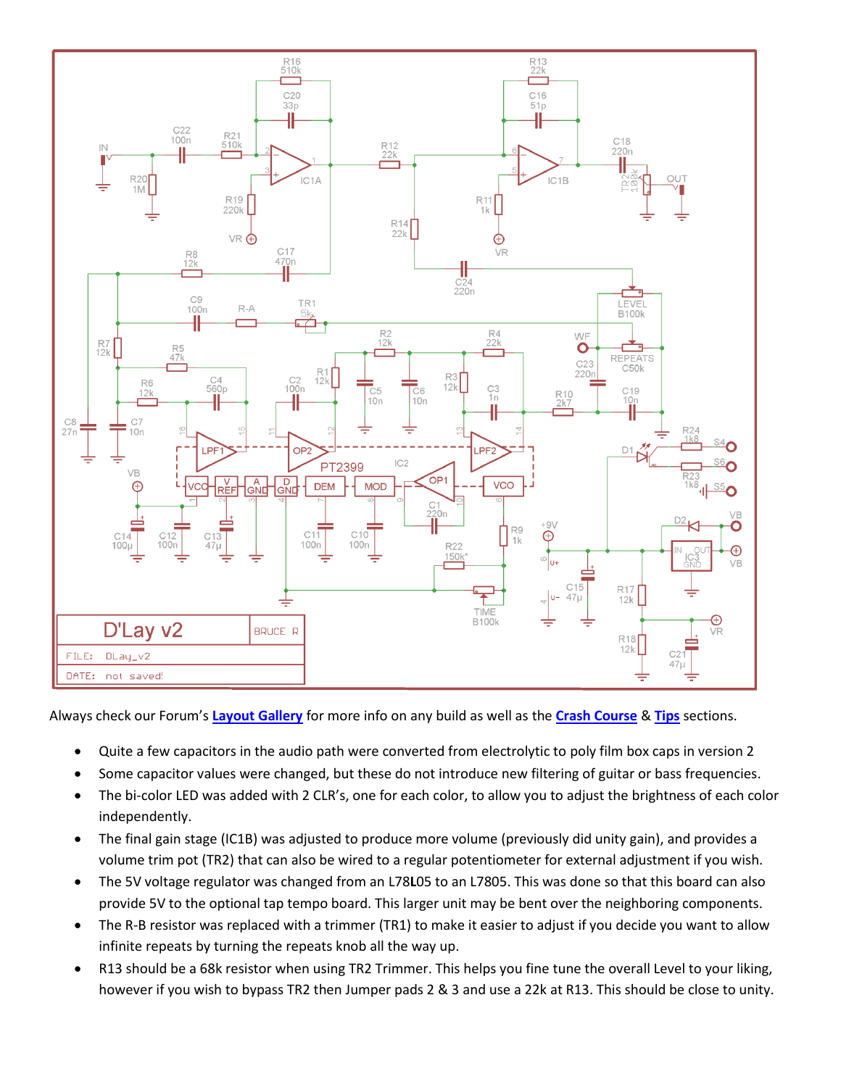

Always check our Forum's **[Layout Gallery](http://www.guitarpcb.com/apps/forums/show/7253321)** for more info on any build as well as the **[Crash Course](http://www.guitarpcb.com/apps/forums/show/6600964)** & **[Tips](http://www.guitarpcb.com/apps/forums/show/3183098)** sections.

- Quite a few capacitors in the audio path were converted from electrolytic to poly film box caps in version 2
- Some capacitor values were changed, but these do not introduce new filtering of guitar or bass frequencies.
- The bi-color LED was added with 2 CLR's, one for each color, to allow you to adjust the brightness of each color independently.
- The final gain stage (IC1B) was adjusted to produce more volume (previously did unity gain), and provides a volume trim pot (TR2) that can also be wired to a regular potentiometer for external adjustment if you wish.
- The 5V voltage regulator was changed from an L78**L**05 to an L7805. This was done so that this board can also provide 5V to the optional tap tempo board. This larger unit may be bent over the neighboring components.
- The R-B resistor was replaced with a trimmer (TR1) to make it easier to adjust if you decide you want to allow infinite repeats by turning the repeats knob all the way up.
- R13 should be a 68k resistor when using TR2 Trimmer. This helps you fine tune the overall Level to your liking, however if you wish to bypass TR2 then Jumper pads 2 & 3 and use a 22k at R13. This should be close to unity.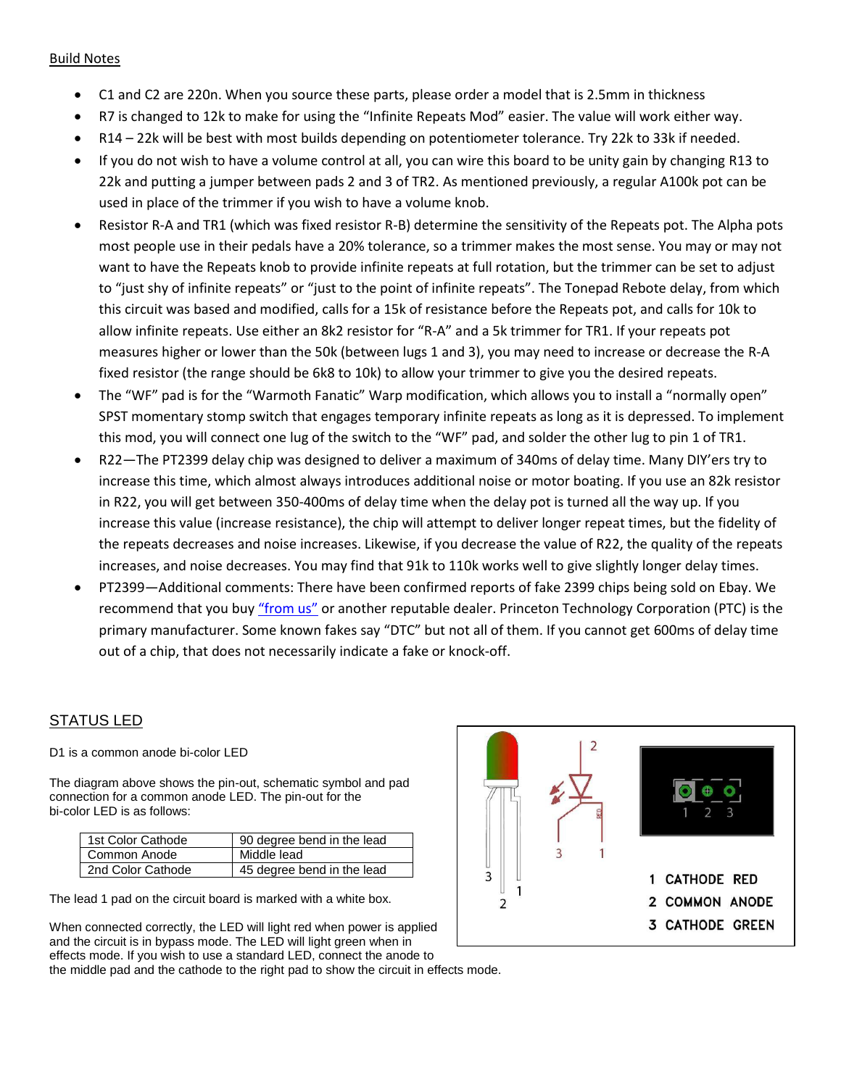## Build Notes

- C1 and C2 are 220n. When you source these parts, please order a model that is 2.5mm in thickness
- R7 is changed to 12k to make for using the "Infinite Repeats Mod" easier. The value will work either way.
- R14 22k will be best with most builds depending on potentiometer tolerance. Try 22k to 33k if needed.
- If you do not wish to have a volume control at all, you can wire this board to be unity gain by changing R13 to 22k and putting a jumper between pads 2 and 3 of TR2. As mentioned previously, a regular A100k pot can be used in place of the trimmer if you wish to have a volume knob.
- Resistor R-A and TR1 (which was fixed resistor R-B) determine the sensitivity of the Repeats pot. The Alpha pots most people use in their pedals have a 20% tolerance, so a trimmer makes the most sense. You may or may not want to have the Repeats knob to provide infinite repeats at full rotation, but the trimmer can be set to adjust to "just shy of infinite repeats" or "just to the point of infinite repeats". The Tonepad Rebote delay, from which this circuit was based and modified, calls for a 15k of resistance before the Repeats pot, and calls for 10k to allow infinite repeats. Use either an 8k2 resistor for "R-A" and a 5k trimmer for TR1. If your repeats pot measures higher or lower than the 50k (between lugs 1 and 3), you may need to increase or decrease the R-A fixed resistor (the range should be 6k8 to 10k) to allow your trimmer to give you the desired repeats.
- The "WF" pad is for the "Warmoth Fanatic" Warp modification, which allows you to install a "normally open" SPST momentary stomp switch that engages temporary infinite repeats as long as it is depressed. To implement this mod, you will connect one lug of the switch to the "WF" pad, and solder the other lug to pin 1 of TR1.
- R22—The PT2399 delay chip was designed to deliver a maximum of 340ms of delay time. Many DIY'ers try to increase this time, which almost always introduces additional noise or motor boating. If you use an 82k resistor in R22, you will get between 350-400ms of delay time when the delay pot is turned all the way up. If you increase this value (increase resistance), the chip will attempt to deliver longer repeat times, but the fidelity of the repeats decreases and noise increases. Likewise, if you decrease the value of R22, the quality of the repeats increases, and noise decreases. You may find that 91k to 110k works well to give slightly longer delay times.
- PT2399—Additional comments: There have been confirmed reports of fake 2399 chips being sold on Ebay. We recommend that you buy ["from us"](http://www.guitarpcb.com/apps/webstore/products/show/4609859) or another reputable dealer. Princeton Technology Corporation (PTC) is the primary manufacturer. Some known fakes say "DTC" but not all of them. If you cannot get 600ms of delay time out of a chip, that does not necessarily indicate a fake or knock-off.

## STATUS LED

D1 is a common anode bi-color LED

The diagram above shows the pin-out, schematic symbol and pad connection for a common anode LED. The pin-out for the bi-color LED is as follows:

| 1st Color Cathode | 90 degree bend in the lead |
|-------------------|----------------------------|
| Common Anode      | Middle lead                |
| 2nd Color Cathode | 45 degree bend in the lead |

The lead 1 pad on the circuit board is marked with a white box.

When connected correctly, the LED will light red when power is applied and the circuit is in bypass mode. The LED will light green when in effects mode. If you wish to use a standard LED, connect the anode to the middle pad and the cathode to the right pad to show the circuit in effects mode.